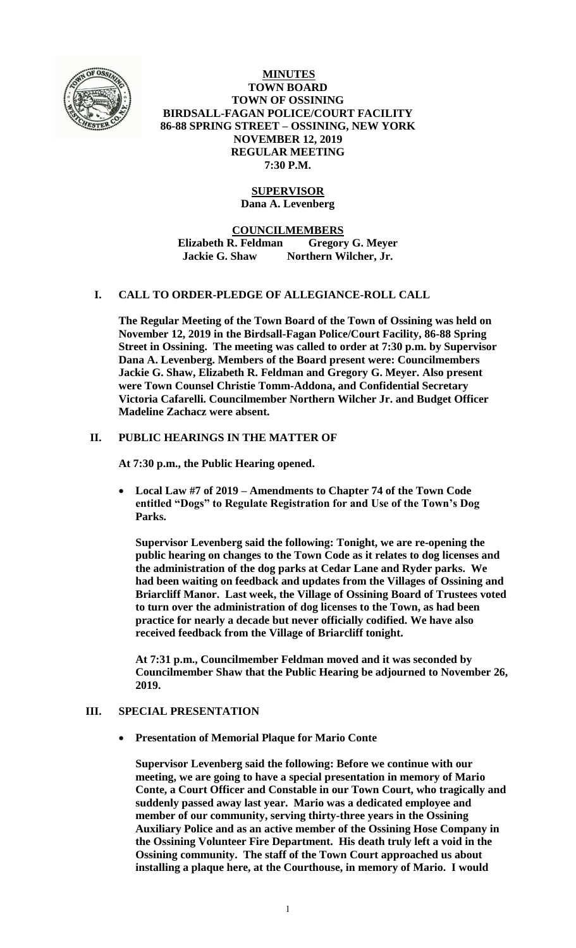

**MINUTES TOWN BOARD TOWN OF OSSINING BIRDSALL-FAGAN POLICE/COURT FACILITY 86-88 SPRING STREET – OSSINING, NEW YORK NOVEMBER 12, 2019 REGULAR MEETING 7:30 P.M.**

# **SUPERVISOR**

**Dana A. Levenberg**

**COUNCILMEMBERS**

**Elizabeth R. Feldman Gregory G. Meyer Jackie G. Shaw Northern Wilcher, Jr.**

### **I. CALL TO ORDER-PLEDGE OF ALLEGIANCE-ROLL CALL**

**The Regular Meeting of the Town Board of the Town of Ossining was held on November 12, 2019 in the Birdsall-Fagan Police/Court Facility, 86-88 Spring Street in Ossining. The meeting was called to order at 7:30 p.m. by Supervisor Dana A. Levenberg. Members of the Board present were: Councilmembers Jackie G. Shaw, Elizabeth R. Feldman and Gregory G. Meyer. Also present were Town Counsel Christie Tomm-Addona, and Confidential Secretary Victoria Cafarelli. Councilmember Northern Wilcher Jr. and Budget Officer Madeline Zachacz were absent.**

### **II. PUBLIC HEARINGS IN THE MATTER OF**

**At 7:30 p.m., the Public Hearing opened.**

 **Local Law #7 of 2019 – Amendments to Chapter 74 of the Town Code entitled "Dogs" to Regulate Registration for and Use of the Town's Dog Parks.**

**Supervisor Levenberg said the following: Tonight, we are re-opening the public hearing on changes to the Town Code as it relates to dog licenses and the administration of the dog parks at Cedar Lane and Ryder parks. We had been waiting on feedback and updates from the Villages of Ossining and Briarcliff Manor. Last week, the Village of Ossining Board of Trustees voted to turn over the administration of dog licenses to the Town, as had been practice for nearly a decade but never officially codified. We have also received feedback from the Village of Briarcliff tonight.** 

**At 7:31 p.m., Councilmember Feldman moved and it was seconded by Councilmember Shaw that the Public Hearing be adjourned to November 26, 2019.**

### **III. SPECIAL PRESENTATION**

**Presentation of Memorial Plaque for Mario Conte**

**Supervisor Levenberg said the following: Before we continue with our meeting, we are going to have a special presentation in memory of Mario Conte, a Court Officer and Constable in our Town Court, who tragically and suddenly passed away last year. Mario was a dedicated employee and member of our community, serving thirty-three years in the Ossining Auxiliary Police and as an active member of the Ossining Hose Company in the Ossining Volunteer Fire Department. His death truly left a void in the Ossining community. The staff of the Town Court approached us about installing a plaque here, at the Courthouse, in memory of Mario. I would**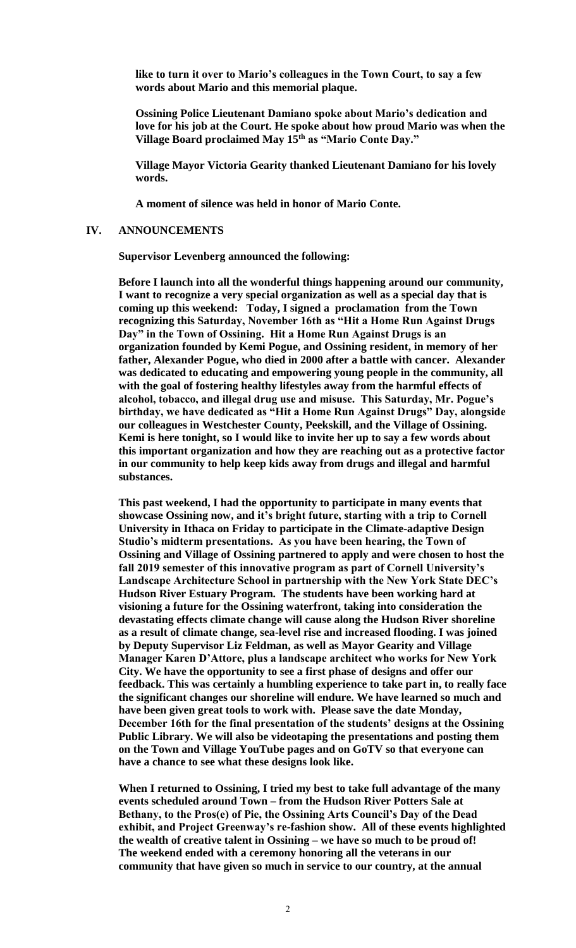**like to turn it over to Mario's colleagues in the Town Court, to say a few words about Mario and this memorial plaque.**

**Ossining Police Lieutenant Damiano spoke about Mario's dedication and love for his job at the Court. He spoke about how proud Mario was when the Village Board proclaimed May 15th as "Mario Conte Day."** 

**Village Mayor Victoria Gearity thanked Lieutenant Damiano for his lovely words.**

**A moment of silence was held in honor of Mario Conte.**

#### **IV. ANNOUNCEMENTS**

**Supervisor Levenberg announced the following:**

**Before I launch into all the wonderful things happening around our community, I want to recognize a very special organization as well as a special day that is coming up this weekend: Today, I signed a proclamation from the Town recognizing this Saturday, November 16th as "Hit a Home Run Against Drugs Day" in the Town of Ossining. Hit a Home Run Against Drugs is an organization founded by Kemi Pogue, and Ossining resident, in memory of her father, Alexander Pogue, who died in 2000 after a battle with cancer. Alexander was dedicated to educating and empowering young people in the community, all with the goal of fostering healthy lifestyles away from the harmful effects of alcohol, tobacco, and illegal drug use and misuse. This Saturday, Mr. Pogue's birthday, we have dedicated as "Hit a Home Run Against Drugs" Day, alongside our colleagues in Westchester County, Peekskill, and the Village of Ossining. Kemi is here tonight, so I would like to invite her up to say a few words about this important organization and how they are reaching out as a protective factor in our community to help keep kids away from drugs and illegal and harmful substances.** 

**This past weekend, I had the opportunity to participate in many events that showcase Ossining now, and it's bright future, starting with a trip to Cornell University in Ithaca on Friday to participate in the Climate-adaptive Design Studio's midterm presentations. As you have been hearing, the Town of Ossining and Village of Ossining partnered to apply and were chosen to host the fall 2019 semester of this innovative program as part of Cornell University's Landscape Architecture School in partnership with the New York State DEC's Hudson River Estuary Program. The students have been working hard at visioning a future for the Ossining waterfront, taking into consideration the devastating effects climate change will cause along the Hudson River shoreline as a result of climate change, sea-level rise and increased flooding. I was joined by Deputy Supervisor Liz Feldman, as well as Mayor Gearity and Village Manager Karen D'Attore, plus a landscape architect who works for New York City. We have the opportunity to see a first phase of designs and offer our feedback. This was certainly a humbling experience to take part in, to really face the significant changes our shoreline will endure. We have learned so much and have been given great tools to work with. Please save the date Monday, December 16th for the final presentation of the students' designs at the Ossining Public Library. We will also be videotaping the presentations and posting them on the Town and Village YouTube pages and on GoTV so that everyone can have a chance to see what these designs look like.**

**When I returned to Ossining, I tried my best to take full advantage of the many events scheduled around Town – from the Hudson River Potters Sale at Bethany, to the Pros(e) of Pie, the Ossining Arts Council's Day of the Dead exhibit, and Project Greenway's re-fashion show. All of these events highlighted the wealth of creative talent in Ossining – we have so much to be proud of! The weekend ended with a ceremony honoring all the veterans in our community that have given so much in service to our country, at the annual**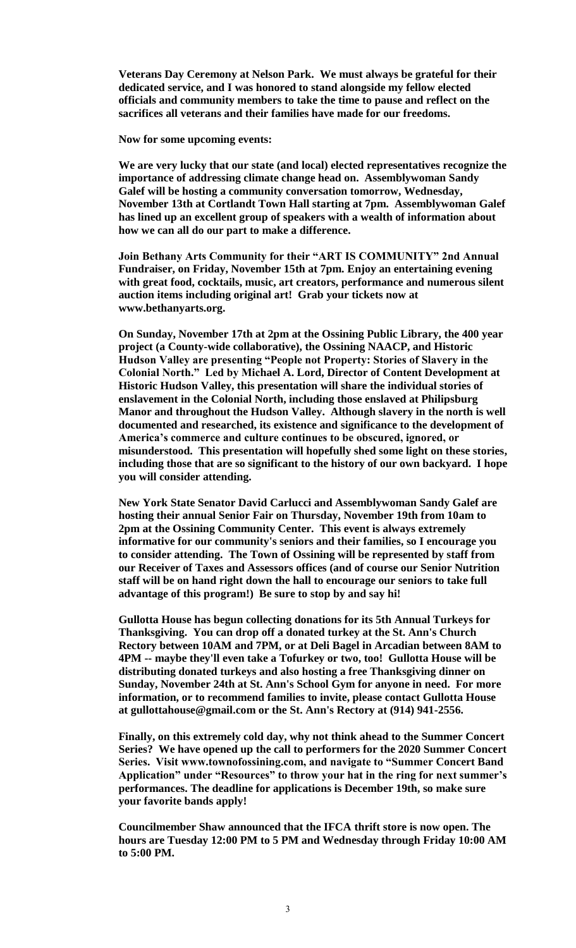**Veterans Day Ceremony at Nelson Park. We must always be grateful for their dedicated service, and I was honored to stand alongside my fellow elected officials and community members to take the time to pause and reflect on the sacrifices all veterans and their families have made for our freedoms.** 

**Now for some upcoming events:**

**We are very lucky that our state (and local) elected representatives recognize the importance of addressing climate change head on. Assemblywoman Sandy Galef will be hosting a community conversation tomorrow, Wednesday, November 13th at Cortlandt Town Hall starting at 7pm. Assemblywoman Galef has lined up an excellent group of speakers with a wealth of information about how we can all do our part to make a difference.**

**Join Bethany Arts Community for their "ART IS COMMUNITY" 2nd Annual Fundraiser, on Friday, November 15th at 7pm. Enjoy an entertaining evening with great food, cocktails, music, art creators, performance and numerous silent auction items including original art! Grab your tickets now at www.bethanyarts.org.** 

**On Sunday, November 17th at 2pm at the Ossining Public Library, the 400 year project (a County-wide collaborative), the Ossining NAACP, and Historic Hudson Valley are presenting "People not Property: Stories of Slavery in the Colonial North." Led by Michael A. Lord, Director of Content Development at Historic Hudson Valley, this presentation will share the individual stories of enslavement in the Colonial North, including those enslaved at Philipsburg Manor and throughout the Hudson Valley. Although slavery in the north is well documented and researched, its existence and significance to the development of America's commerce and culture continues to be obscured, ignored, or misunderstood. This presentation will hopefully shed some light on these stories, including those that are so significant to the history of our own backyard. I hope you will consider attending.** 

**New York State Senator David Carlucci and Assemblywoman Sandy Galef are hosting their annual Senior Fair on Thursday, November 19th from 10am to 2pm at the Ossining Community Center. This event is always extremely informative for our community's seniors and their families, so I encourage you to consider attending. The Town of Ossining will be represented by staff from our Receiver of Taxes and Assessors offices (and of course our Senior Nutrition staff will be on hand right down the hall to encourage our seniors to take full advantage of this program!) Be sure to stop by and say hi!** 

**Gullotta House has begun collecting donations for its 5th Annual Turkeys for Thanksgiving. You can drop off a donated turkey at the St. Ann's Church Rectory between 10AM and 7PM, or at Deli Bagel in Arcadian between 8AM to 4PM -- maybe they'll even take a Tofurkey or two, too! Gullotta House will be distributing donated turkeys and also hosting a free Thanksgiving dinner on Sunday, November 24th at St. Ann's School Gym for anyone in need. For more information, or to recommend families to invite, please contact Gullotta House at gullottahouse@gmail.com or the St. Ann's Rectory at (914) 941-2556.**

**Finally, on this extremely cold day, why not think ahead to the Summer Concert Series? We have opened up the call to performers for the 2020 Summer Concert Series. Visit www.townofossining.com, and navigate to "Summer Concert Band Application" under "Resources" to throw your hat in the ring for next summer's performances. The deadline for applications is December 19th, so make sure your favorite bands apply!**

**Councilmember Shaw announced that the IFCA thrift store is now open. The hours are Tuesday 12:00 PM to 5 PM and Wednesday through Friday 10:00 AM to 5:00 PM.**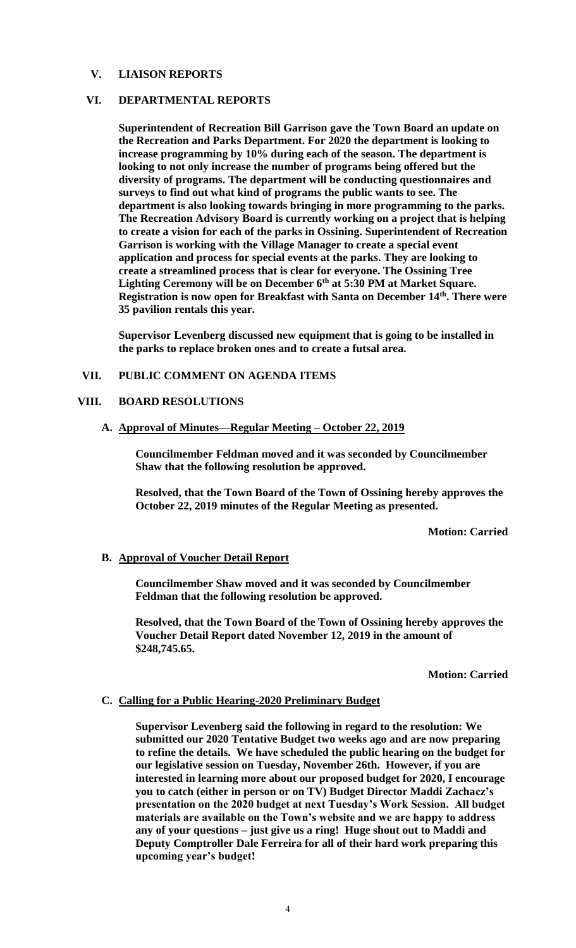### **V. LIAISON REPORTS**

### **VI. DEPARTMENTAL REPORTS**

**Superintendent of Recreation Bill Garrison gave the Town Board an update on the Recreation and Parks Department. For 2020 the department is looking to increase programming by 10% during each of the season. The department is looking to not only increase the number of programs being offered but the diversity of programs. The department will be conducting questionnaires and surveys to find out what kind of programs the public wants to see. The department is also looking towards bringing in more programming to the parks. The Recreation Advisory Board is currently working on a project that is helping to create a vision for each of the parks in Ossining. Superintendent of Recreation Garrison is working with the Village Manager to create a special event application and process for special events at the parks. They are looking to create a streamlined process that is clear for everyone. The Ossining Tree Lighting Ceremony will be on December 6th at 5:30 PM at Market Square. Registration is now open for Breakfast with Santa on December 14th. There were 35 pavilion rentals this year.** 

**Supervisor Levenberg discussed new equipment that is going to be installed in the parks to replace broken ones and to create a futsal area.** 

### **VII. PUBLIC COMMENT ON AGENDA ITEMS**

#### **VIII. BOARD RESOLUTIONS**

#### **A. Approval of Minutes—Regular Meeting – October 22, 2019**

**Councilmember Feldman moved and it was seconded by Councilmember Shaw that the following resolution be approved.**

**Resolved, that the Town Board of the Town of Ossining hereby approves the October 22, 2019 minutes of the Regular Meeting as presented.**

**Motion: Carried**

#### **B. Approval of Voucher Detail Report**

**Councilmember Shaw moved and it was seconded by Councilmember Feldman that the following resolution be approved.**

**Resolved, that the Town Board of the Town of Ossining hereby approves the Voucher Detail Report dated November 12, 2019 in the amount of \$248,745.65.**

**Motion: Carried**

# **C. Calling for a Public Hearing-2020 Preliminary Budget**

**Supervisor Levenberg said the following in regard to the resolution: We submitted our 2020 Tentative Budget two weeks ago and are now preparing to refine the details. We have scheduled the public hearing on the budget for our legislative session on Tuesday, November 26th. However, if you are interested in learning more about our proposed budget for 2020, I encourage you to catch (either in person or on TV) Budget Director Maddi Zachacz's presentation on the 2020 budget at next Tuesday's Work Session. All budget materials are available on the Town's website and we are happy to address any of your questions – just give us a ring! Huge shout out to Maddi and Deputy Comptroller Dale Ferreira for all of their hard work preparing this upcoming year's budget!**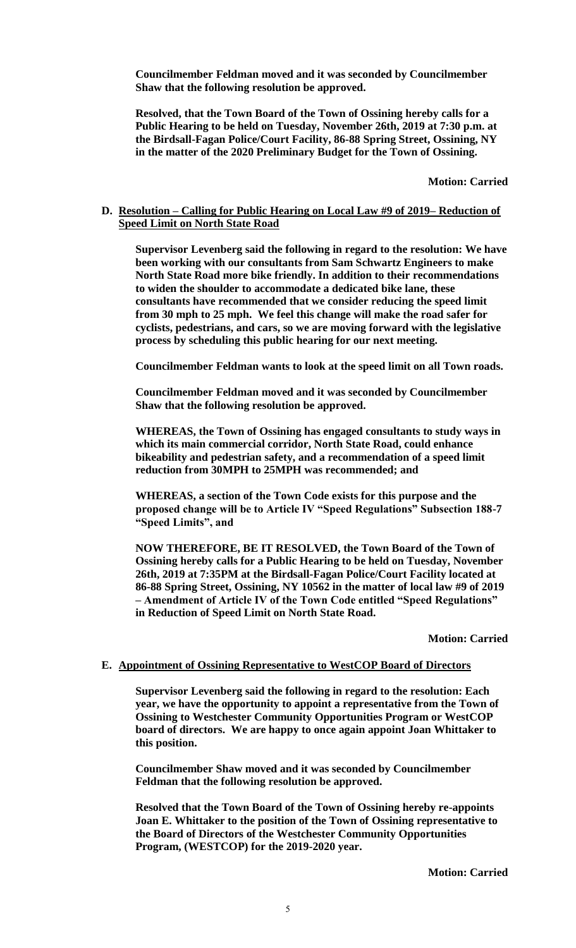**Councilmember Feldman moved and it was seconded by Councilmember Shaw that the following resolution be approved.**

**Resolved, that the Town Board of the Town of Ossining hereby calls for a Public Hearing to be held on Tuesday, November 26th, 2019 at 7:30 p.m. at the Birdsall-Fagan Police/Court Facility, 86-88 Spring Street, Ossining, NY in the matter of the 2020 Preliminary Budget for the Town of Ossining.**

**Motion: Carried**

#### **D. Resolution – Calling for Public Hearing on Local Law #9 of 2019– Reduction of Speed Limit on North State Road**

**Supervisor Levenberg said the following in regard to the resolution: We have been working with our consultants from Sam Schwartz Engineers to make North State Road more bike friendly. In addition to their recommendations to widen the shoulder to accommodate a dedicated bike lane, these consultants have recommended that we consider reducing the speed limit from 30 mph to 25 mph. We feel this change will make the road safer for cyclists, pedestrians, and cars, so we are moving forward with the legislative process by scheduling this public hearing for our next meeting.**

**Councilmember Feldman wants to look at the speed limit on all Town roads.** 

**Councilmember Feldman moved and it was seconded by Councilmember Shaw that the following resolution be approved.**

**WHEREAS, the Town of Ossining has engaged consultants to study ways in which its main commercial corridor, North State Road, could enhance bikeability and pedestrian safety, and a recommendation of a speed limit reduction from 30MPH to 25MPH was recommended; and**

**WHEREAS, a section of the Town Code exists for this purpose and the proposed change will be to Article IV "Speed Regulations" Subsection 188-7 "Speed Limits", and**

**NOW THEREFORE, BE IT RESOLVED, the Town Board of the Town of Ossining hereby calls for a Public Hearing to be held on Tuesday, November 26th, 2019 at 7:35PM at the Birdsall-Fagan Police/Court Facility located at 86-88 Spring Street, Ossining, NY 10562 in the matter of local law #9 of 2019 – Amendment of Article IV of the Town Code entitled "Speed Regulations" in Reduction of Speed Limit on North State Road.**

**Motion: Carried**

#### **E. Appointment of Ossining Representative to WestCOP Board of Directors**

**Supervisor Levenberg said the following in regard to the resolution: Each year, we have the opportunity to appoint a representative from the Town of Ossining to Westchester Community Opportunities Program or WestCOP board of directors. We are happy to once again appoint Joan Whittaker to this position.**

**Councilmember Shaw moved and it was seconded by Councilmember Feldman that the following resolution be approved.**

**Resolved that the Town Board of the Town of Ossining hereby re-appoints Joan E. Whittaker to the position of the Town of Ossining representative to the Board of Directors of the Westchester Community Opportunities Program, (WESTCOP) for the 2019-2020 year.**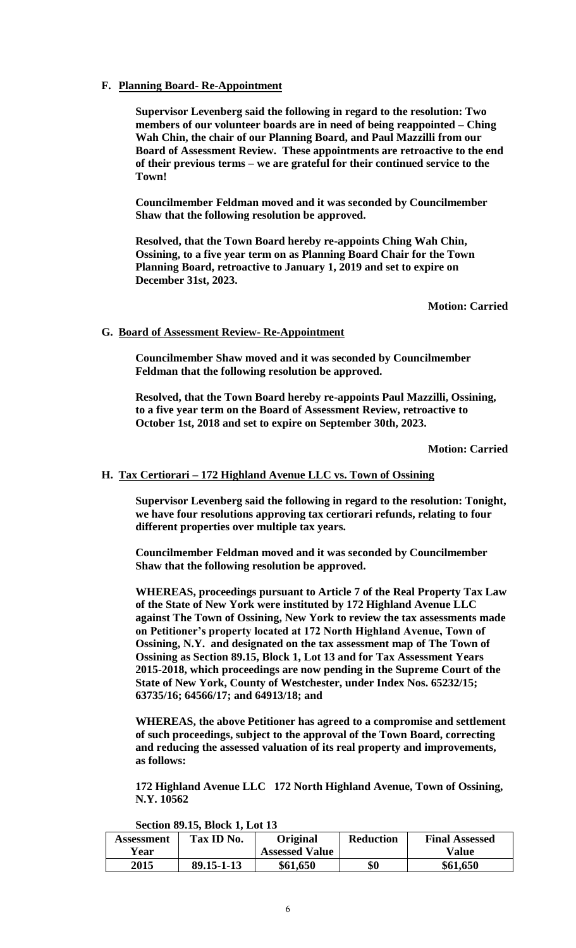### **F. Planning Board- Re-Appointment**

**Supervisor Levenberg said the following in regard to the resolution: Two members of our volunteer boards are in need of being reappointed – Ching Wah Chin, the chair of our Planning Board, and Paul Mazzilli from our Board of Assessment Review. These appointments are retroactive to the end of their previous terms – we are grateful for their continued service to the Town!**

**Councilmember Feldman moved and it was seconded by Councilmember Shaw that the following resolution be approved.**

**Resolved, that the Town Board hereby re-appoints Ching Wah Chin, Ossining, to a five year term on as Planning Board Chair for the Town Planning Board, retroactive to January 1, 2019 and set to expire on December 31st, 2023.**

**Motion: Carried**

### **G. Board of Assessment Review- Re-Appointment**

**Councilmember Shaw moved and it was seconded by Councilmember Feldman that the following resolution be approved.**

**Resolved, that the Town Board hereby re-appoints Paul Mazzilli, Ossining, to a five year term on the Board of Assessment Review, retroactive to October 1st, 2018 and set to expire on September 30th, 2023.**

**Motion: Carried**

### **H. Tax Certiorari – 172 Highland Avenue LLC vs. Town of Ossining**

**Supervisor Levenberg said the following in regard to the resolution: Tonight, we have four resolutions approving tax certiorari refunds, relating to four different properties over multiple tax years.**

**Councilmember Feldman moved and it was seconded by Councilmember Shaw that the following resolution be approved.**

**WHEREAS, proceedings pursuant to Article 7 of the Real Property Tax Law of the State of New York were instituted by 172 Highland Avenue LLC against The Town of Ossining, New York to review the tax assessments made on Petitioner's property located at 172 North Highland Avenue, Town of Ossining, N.Y. and designated on the tax assessment map of The Town of Ossining as Section 89.15, Block 1, Lot 13 and for Tax Assessment Years 2015-2018, which proceedings are now pending in the Supreme Court of the State of New York, County of Westchester, under Index Nos. 65232/15; 63735/16; 64566/17; and 64913/18; and** 

**WHEREAS, the above Petitioner has agreed to a compromise and settlement of such proceedings, subject to the approval of the Town Board, correcting and reducing the assessed valuation of its real property and improvements, as follows:**

**172 Highland Avenue LLC 172 North Highland Avenue, Town of Ossining, N.Y. 10562** 

**Section 89.15, Block 1, Lot 13**

| Assessment<br>Year | Tax ID No. | <b>Original</b><br><b>Assessed Value</b> | <b>Reduction</b> | <b>Final Assessed</b><br>Value |
|--------------------|------------|------------------------------------------|------------------|--------------------------------|
| 2015               | 89.15-1-13 | \$61,650                                 | \$0              | \$61,650                       |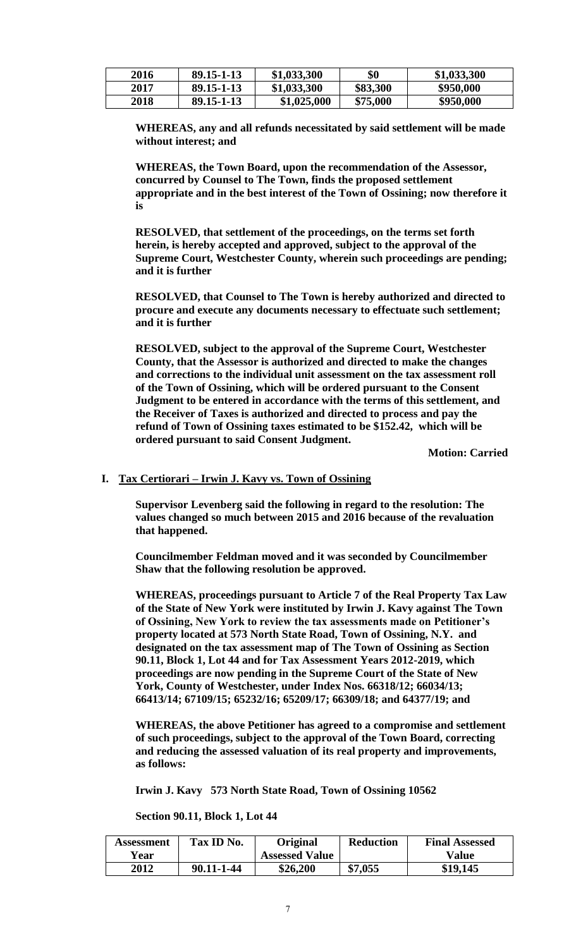| 2016 | $89.15 - 1 - 13$ | \$1,033,300 | \$0      | \$1,033,300 |
|------|------------------|-------------|----------|-------------|
| 2017 | 89.15-1-13       | \$1,033,300 | \$83,300 | \$950,000   |
| 2018 | 89.15-1-13       | \$1,025,000 | \$75,000 | \$950,000   |

**WHEREAS, any and all refunds necessitated by said settlement will be made without interest; and** 

**WHEREAS, the Town Board, upon the recommendation of the Assessor, concurred by Counsel to The Town, finds the proposed settlement appropriate and in the best interest of the Town of Ossining; now therefore it is**

**RESOLVED, that settlement of the proceedings, on the terms set forth herein, is hereby accepted and approved, subject to the approval of the Supreme Court, Westchester County, wherein such proceedings are pending; and it is further**

**RESOLVED, that Counsel to The Town is hereby authorized and directed to procure and execute any documents necessary to effectuate such settlement; and it is further**

**RESOLVED, subject to the approval of the Supreme Court, Westchester County, that the Assessor is authorized and directed to make the changes and corrections to the individual unit assessment on the tax assessment roll of the Town of Ossining, which will be ordered pursuant to the Consent Judgment to be entered in accordance with the terms of this settlement, and the Receiver of Taxes is authorized and directed to process and pay the refund of Town of Ossining taxes estimated to be \$152.42, which will be ordered pursuant to said Consent Judgment.** 

**Motion: Carried**

### **I. Tax Certiorari – Irwin J. Kavy vs. Town of Ossining**

**Supervisor Levenberg said the following in regard to the resolution: The values changed so much between 2015 and 2016 because of the revaluation that happened.**

**Councilmember Feldman moved and it was seconded by Councilmember Shaw that the following resolution be approved.**

**WHEREAS, proceedings pursuant to Article 7 of the Real Property Tax Law of the State of New York were instituted by Irwin J. Kavy against The Town of Ossining, New York to review the tax assessments made on Petitioner's property located at 573 North State Road, Town of Ossining, N.Y. and designated on the tax assessment map of The Town of Ossining as Section 90.11, Block 1, Lot 44 and for Tax Assessment Years 2012-2019, which proceedings are now pending in the Supreme Court of the State of New York, County of Westchester, under Index Nos. 66318/12; 66034/13; 66413/14; 67109/15; 65232/16; 65209/17; 66309/18; and 64377/19; and** 

**WHEREAS, the above Petitioner has agreed to a compromise and settlement of such proceedings, subject to the approval of the Town Board, correcting and reducing the assessed valuation of its real property and improvements, as follows:**

**Irwin J. Kavy 573 North State Road, Town of Ossining 10562** 

**Section 90.11, Block 1, Lot 44**

| Assessment<br>Year | Tax ID No. | Original<br><b>Assessed Value</b> | <b>Reduction</b> | <b>Final Assessed</b><br>Value |
|--------------------|------------|-----------------------------------|------------------|--------------------------------|
| 2012               | 90.11-1-44 | \$26,200                          | \$7,055          | \$19,145                       |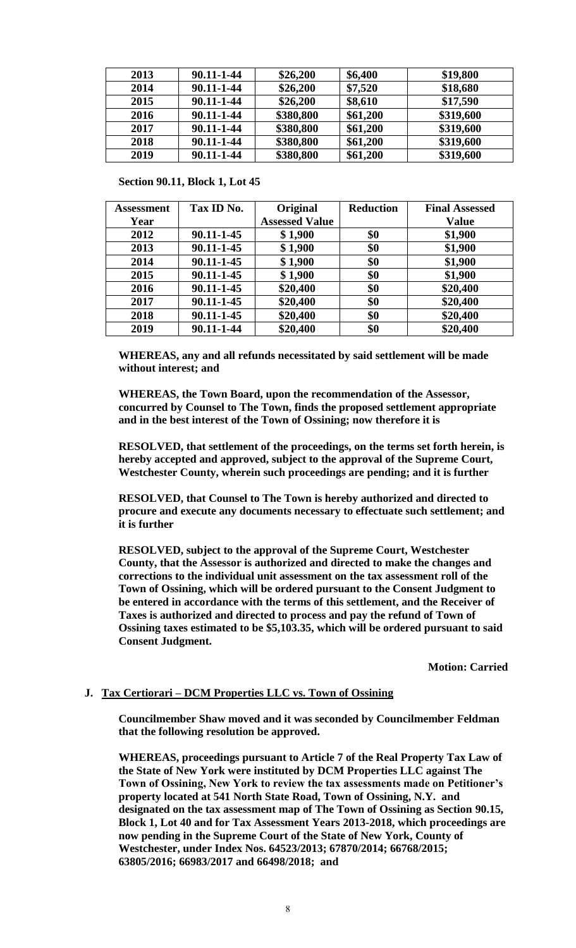| 2013 | 90.11-1-44 | \$26,200  | \$6,400  | \$19,800  |
|------|------------|-----------|----------|-----------|
| 2014 | 90.11-1-44 | \$26,200  | \$7,520  | \$18,680  |
| 2015 | 90.11-1-44 | \$26,200  | \$8,610  | \$17,590  |
| 2016 | 90.11-1-44 | \$380,800 | \$61,200 | \$319,600 |
| 2017 | 90.11-1-44 | \$380,800 | \$61,200 | \$319,600 |
| 2018 | 90.11-1-44 | \$380,800 | \$61,200 | \$319,600 |
| 2019 | 90.11-1-44 | \$380,800 | \$61,200 | \$319,600 |

**Section 90.11, Block 1, Lot 45** 

| Assessment | Tax ID No. | Original              | <b>Reduction</b> | <b>Final Assessed</b> |
|------------|------------|-----------------------|------------------|-----------------------|
| Year       |            | <b>Assessed Value</b> |                  | <b>Value</b>          |
| 2012       | 90.11-1-45 | \$1,900               | \$0              | \$1,900               |
| 2013       | 90.11-1-45 | \$1,900               | \$0              | \$1,900               |
| 2014       | 90.11-1-45 | \$1,900               | \$0              | \$1,900               |
| 2015       | 90.11-1-45 | \$1,900               | \$0              | \$1,900               |
| 2016       | 90.11-1-45 | \$20,400              | \$0              | \$20,400              |
| 2017       | 90.11-1-45 | \$20,400              | \$0              | \$20,400              |
| 2018       | 90.11-1-45 | \$20,400              | \$0              | \$20,400              |
| 2019       | 90.11-1-44 | \$20,400              | \$0              | \$20,400              |

**WHEREAS, any and all refunds necessitated by said settlement will be made without interest; and** 

**WHEREAS, the Town Board, upon the recommendation of the Assessor, concurred by Counsel to The Town, finds the proposed settlement appropriate and in the best interest of the Town of Ossining; now therefore it is**

**RESOLVED, that settlement of the proceedings, on the terms set forth herein, is hereby accepted and approved, subject to the approval of the Supreme Court, Westchester County, wherein such proceedings are pending; and it is further**

**RESOLVED, that Counsel to The Town is hereby authorized and directed to procure and execute any documents necessary to effectuate such settlement; and it is further**

**RESOLVED, subject to the approval of the Supreme Court, Westchester County, that the Assessor is authorized and directed to make the changes and corrections to the individual unit assessment on the tax assessment roll of the Town of Ossining, which will be ordered pursuant to the Consent Judgment to be entered in accordance with the terms of this settlement, and the Receiver of Taxes is authorized and directed to process and pay the refund of Town of Ossining taxes estimated to be \$5,103.35, which will be ordered pursuant to said Consent Judgment.** 

**Motion: Carried**

### **J. Tax Certiorari – DCM Properties LLC vs. Town of Ossining**

**Councilmember Shaw moved and it was seconded by Councilmember Feldman that the following resolution be approved.**

**WHEREAS, proceedings pursuant to Article 7 of the Real Property Tax Law of the State of New York were instituted by DCM Properties LLC against The Town of Ossining, New York to review the tax assessments made on Petitioner's property located at 541 North State Road, Town of Ossining, N.Y. and designated on the tax assessment map of The Town of Ossining as Section 90.15, Block 1, Lot 40 and for Tax Assessment Years 2013-2018, which proceedings are now pending in the Supreme Court of the State of New York, County of Westchester, under Index Nos. 64523/2013; 67870/2014; 66768/2015; 63805/2016; 66983/2017 and 66498/2018; and**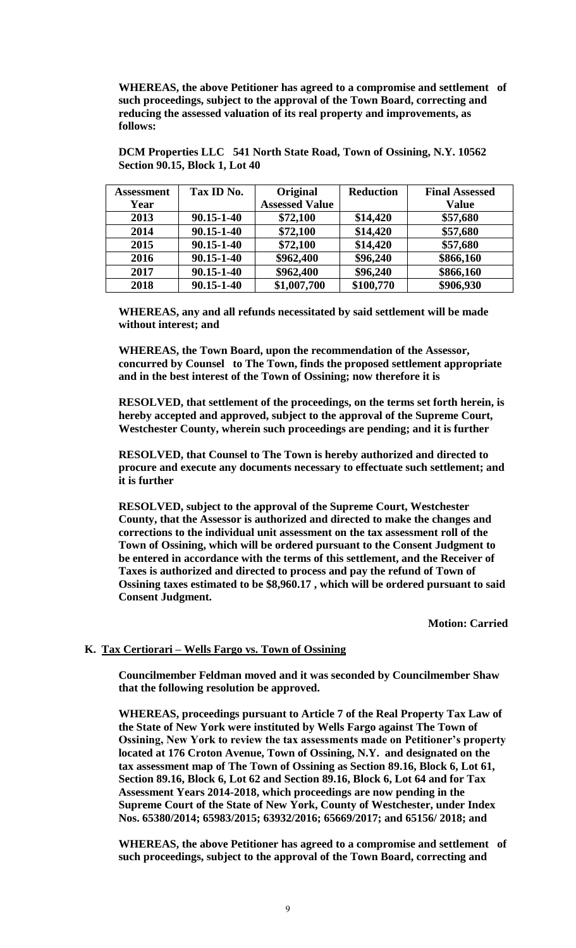**WHEREAS, the above Petitioner has agreed to a compromise and settlement of such proceedings, subject to the approval of the Town Board, correcting and reducing the assessed valuation of its real property and improvements, as follows:**

| <b>Assessment</b> | Tax ID No. | Original              | <b>Reduction</b> | <b>Final Assessed</b> |
|-------------------|------------|-----------------------|------------------|-----------------------|
| Year              |            | <b>Assessed Value</b> |                  | <b>Value</b>          |
| 2013              | 90.15-1-40 | \$72,100              | \$14,420         | \$57,680              |
| 2014              | 90.15-1-40 | \$72,100              | \$14,420         | \$57,680              |
| 2015              | 90.15-1-40 | \$72,100              | \$14,420         | \$57,680              |
| 2016              | 90.15-1-40 | \$962,400             | \$96,240         | \$866,160             |
| 2017              | 90.15-1-40 | \$962,400             | \$96,240         | \$866,160             |
| 2018              | 90.15-1-40 | \$1,007,700           | \$100,770        | \$906,930             |

**DCM Properties LLC 541 North State Road, Town of Ossining, N.Y. 10562 Section 90.15, Block 1, Lot 40**

**WHEREAS, any and all refunds necessitated by said settlement will be made without interest; and** 

**WHEREAS, the Town Board, upon the recommendation of the Assessor, concurred by Counsel to The Town, finds the proposed settlement appropriate and in the best interest of the Town of Ossining; now therefore it is**

**RESOLVED, that settlement of the proceedings, on the terms set forth herein, is hereby accepted and approved, subject to the approval of the Supreme Court, Westchester County, wherein such proceedings are pending; and it is further**

**RESOLVED, that Counsel to The Town is hereby authorized and directed to procure and execute any documents necessary to effectuate such settlement; and it is further**

**RESOLVED, subject to the approval of the Supreme Court, Westchester County, that the Assessor is authorized and directed to make the changes and corrections to the individual unit assessment on the tax assessment roll of the Town of Ossining, which will be ordered pursuant to the Consent Judgment to be entered in accordance with the terms of this settlement, and the Receiver of Taxes is authorized and directed to process and pay the refund of Town of Ossining taxes estimated to be \$8,960.17 , which will be ordered pursuant to said Consent Judgment.** 

**Motion: Carried**

### **K. Tax Certiorari – Wells Fargo vs. Town of Ossining**

**Councilmember Feldman moved and it was seconded by Councilmember Shaw that the following resolution be approved.**

**WHEREAS, proceedings pursuant to Article 7 of the Real Property Tax Law of the State of New York were instituted by Wells Fargo against The Town of Ossining, New York to review the tax assessments made on Petitioner's property located at 176 Croton Avenue, Town of Ossining, N.Y. and designated on the tax assessment map of The Town of Ossining as Section 89.16, Block 6, Lot 61, Section 89.16, Block 6, Lot 62 and Section 89.16, Block 6, Lot 64 and for Tax Assessment Years 2014-2018, which proceedings are now pending in the Supreme Court of the State of New York, County of Westchester, under Index Nos. 65380/2014; 65983/2015; 63932/2016; 65669/2017; and 65156/ 2018; and** 

**WHEREAS, the above Petitioner has agreed to a compromise and settlement of such proceedings, subject to the approval of the Town Board, correcting and**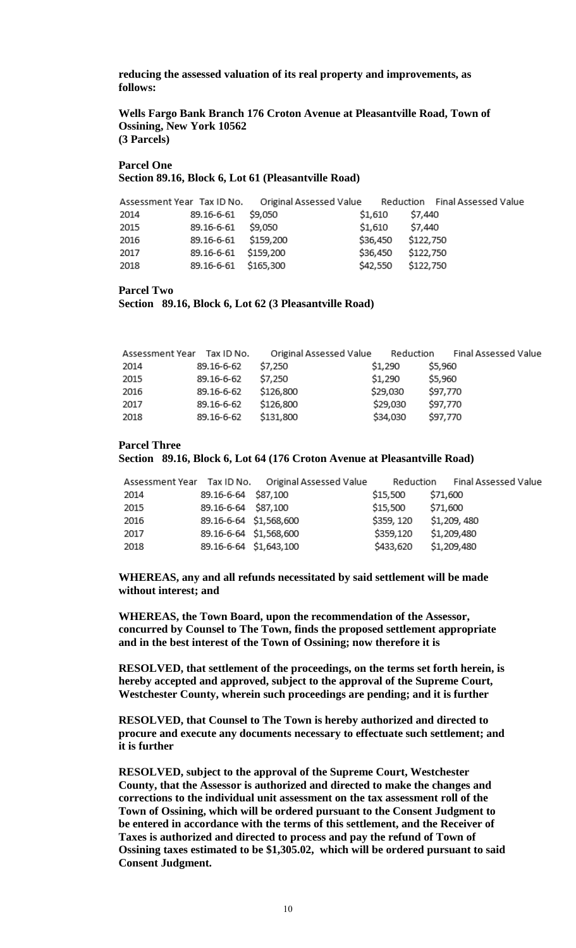**reducing the assessed valuation of its real property and improvements, as follows:**

#### **Wells Fargo Bank Branch 176 Croton Avenue at Pleasantville Road, Town of Ossining, New York 10562 (3 Parcels)**

#### **Parcel One Section 89.16, Block 6, Lot 61 (Pleasantville Road)**

|      |                      |         |          | Assessment Year Tax ID No.  Original Assessed Value  Reduction  Final Assessed Value |
|------|----------------------|---------|----------|--------------------------------------------------------------------------------------|
| 2014 | 89.16-6-61           | \$9,050 | \$1,610  | \$7,440                                                                              |
| 2015 | 89.16-6-61           | \$9,050 | \$1,610  | \$7,440                                                                              |
| 2016 | 89.16-6-61 \$159,200 |         | \$36,450 | \$122,750                                                                            |
| 2017 | 89.16-6-61 \$159,200 |         | \$36,450 | \$122,750                                                                            |
| 2018 | 89.16-6-61 \$165,300 |         | \$42,550 | \$122,750                                                                            |

#### **Parcel Two**

```
Section 89.16, Block 6, Lot 62 (3 Pleasantville Road)
```

| Assessment Year Tax ID No. |            | Original Assessed Value | Reduction | Final Assessed Value |
|----------------------------|------------|-------------------------|-----------|----------------------|
| 2014                       | 89.16-6-62 | \$7,250                 | \$1,290   | \$5,960              |
| 2015                       | 89.16-6-62 | \$7,250                 | \$1,290   | \$5,960              |
| 2016                       | 89.16-6-62 | \$126,800               | \$29,030  | \$97,770             |
| 2017                       | 89.16-6-62 | \$126,800               | \$29,030  | \$97,770             |
| 2018                       | 89.16-6-62 | \$131,800               | \$34,030  | \$97,770             |

#### **Parcel Three**

#### **Section 89.16, Block 6, Lot 64 (176 Croton Avenue at Pleasantville Road)**

|      |                        | Assessment Year Tax ID No. Original Assessed Value | Reduction  | Final Assessed Value |
|------|------------------------|----------------------------------------------------|------------|----------------------|
| 2014 | 89.16-6-64 \$87,100    |                                                    | \$15,500   | \$71,600             |
| 2015 | 89.16-6-64 \$87,100    |                                                    | \$15,500   | \$71,600             |
| 2016 | 89.16-6-64 \$1,568,600 |                                                    | \$359, 120 | \$1,209,480          |
| 2017 | 89.16-6-64 \$1,568,600 |                                                    | \$359,120  | \$1,209,480          |
| 2018 | 89.16-6-64 \$1,643,100 |                                                    | \$433,620  | \$1,209,480          |

**WHEREAS, any and all refunds necessitated by said settlement will be made without interest; and** 

**WHEREAS, the Town Board, upon the recommendation of the Assessor, concurred by Counsel to The Town, finds the proposed settlement appropriate and in the best interest of the Town of Ossining; now therefore it is**

**RESOLVED, that settlement of the proceedings, on the terms set forth herein, is hereby accepted and approved, subject to the approval of the Supreme Court, Westchester County, wherein such proceedings are pending; and it is further**

**RESOLVED, that Counsel to The Town is hereby authorized and directed to procure and execute any documents necessary to effectuate such settlement; and it is further**

**RESOLVED, subject to the approval of the Supreme Court, Westchester County, that the Assessor is authorized and directed to make the changes and corrections to the individual unit assessment on the tax assessment roll of the Town of Ossining, which will be ordered pursuant to the Consent Judgment to be entered in accordance with the terms of this settlement, and the Receiver of Taxes is authorized and directed to process and pay the refund of Town of Ossining taxes estimated to be \$1,305.02, which will be ordered pursuant to said Consent Judgment.**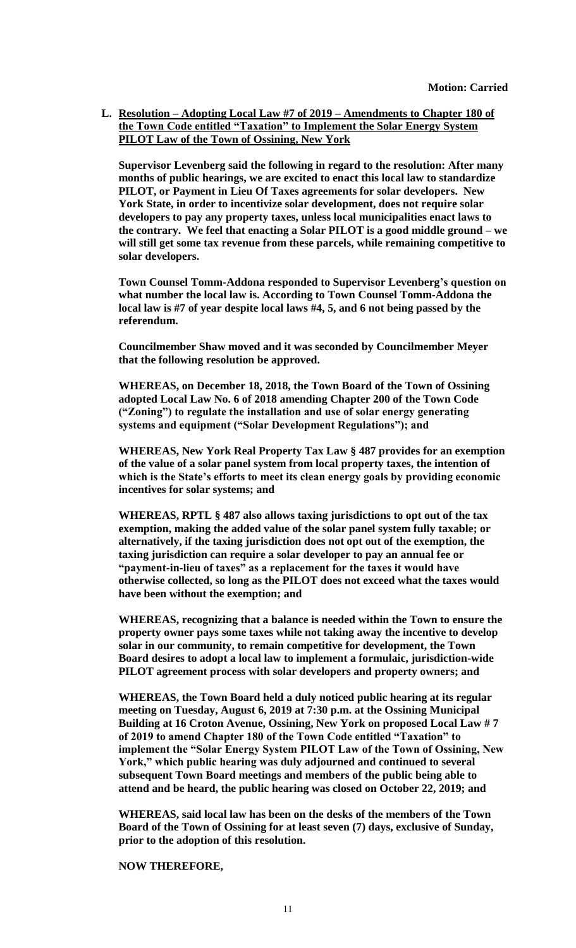**L. Resolution – Adopting Local Law #7 of 2019 – Amendments to Chapter 180 of the Town Code entitled "Taxation" to Implement the Solar Energy System PILOT Law of the Town of Ossining, New York**

**Supervisor Levenberg said the following in regard to the resolution: After many months of public hearings, we are excited to enact this local law to standardize PILOT, or Payment in Lieu Of Taxes agreements for solar developers. New York State, in order to incentivize solar development, does not require solar developers to pay any property taxes, unless local municipalities enact laws to the contrary. We feel that enacting a Solar PILOT is a good middle ground – we will still get some tax revenue from these parcels, while remaining competitive to solar developers.**

**Town Counsel Tomm-Addona responded to Supervisor Levenberg's question on what number the local law is. According to Town Counsel Tomm-Addona the local law is #7 of year despite local laws #4, 5, and 6 not being passed by the referendum.** 

**Councilmember Shaw moved and it was seconded by Councilmember Meyer that the following resolution be approved.**

**WHEREAS, on December 18, 2018, the Town Board of the Town of Ossining adopted Local Law No. 6 of 2018 amending Chapter 200 of the Town Code ("Zoning") to regulate the installation and use of solar energy generating systems and equipment ("Solar Development Regulations"); and**

**WHEREAS, New York Real Property Tax Law § 487 provides for an exemption of the value of a solar panel system from local property taxes, the intention of which is the State's efforts to meet its clean energy goals by providing economic incentives for solar systems; and**

**WHEREAS, RPTL § 487 also allows taxing jurisdictions to opt out of the tax exemption, making the added value of the solar panel system fully taxable; or alternatively, if the taxing jurisdiction does not opt out of the exemption, the taxing jurisdiction can require a solar developer to pay an annual fee or "payment-in-lieu of taxes" as a replacement for the taxes it would have otherwise collected, so long as the PILOT does not exceed what the taxes would have been without the exemption; and**

**WHEREAS, recognizing that a balance is needed within the Town to ensure the property owner pays some taxes while not taking away the incentive to develop solar in our community, to remain competitive for development, the Town Board desires to adopt a local law to implement a formulaic, jurisdiction-wide PILOT agreement process with solar developers and property owners; and**

**WHEREAS, the Town Board held a duly noticed public hearing at its regular meeting on Tuesday, August 6, 2019 at 7:30 p.m. at the Ossining Municipal Building at 16 Croton Avenue, Ossining, New York on proposed Local Law # 7 of 2019 to amend Chapter 180 of the Town Code entitled "Taxation" to implement the "Solar Energy System PILOT Law of the Town of Ossining, New York," which public hearing was duly adjourned and continued to several subsequent Town Board meetings and members of the public being able to attend and be heard, the public hearing was closed on October 22, 2019; and**

**WHEREAS, said local law has been on the desks of the members of the Town Board of the Town of Ossining for at least seven (7) days, exclusive of Sunday, prior to the adoption of this resolution.**

**NOW THEREFORE,**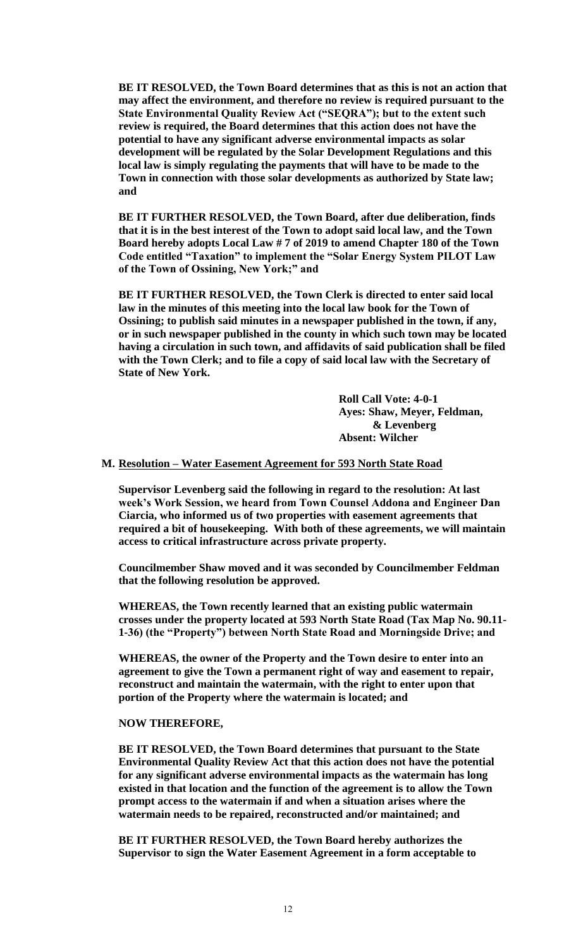**BE IT RESOLVED, the Town Board determines that as this is not an action that may affect the environment, and therefore no review is required pursuant to the State Environmental Quality Review Act ("SEQRA"); but to the extent such review is required, the Board determines that this action does not have the potential to have any significant adverse environmental impacts as solar development will be regulated by the Solar Development Regulations and this local law is simply regulating the payments that will have to be made to the Town in connection with those solar developments as authorized by State law; and**

**BE IT FURTHER RESOLVED, the Town Board, after due deliberation, finds that it is in the best interest of the Town to adopt said local law, and the Town Board hereby adopts Local Law # 7 of 2019 to amend Chapter 180 of the Town Code entitled "Taxation" to implement the "Solar Energy System PILOT Law of the Town of Ossining, New York;" and** 

**BE IT FURTHER RESOLVED, the Town Clerk is directed to enter said local law in the minutes of this meeting into the local law book for the Town of Ossining; to publish said minutes in a newspaper published in the town, if any, or in such newspaper published in the county in which such town may be located having a circulation in such town, and affidavits of said publication shall be filed with the Town Clerk; and to file a copy of said local law with the Secretary of State of New York.**

> **Roll Call Vote: 4-0-1 Ayes: Shaw, Meyer, Feldman, & Levenberg Absent: Wilcher**

#### **M. Resolution – Water Easement Agreement for 593 North State Road**

**Supervisor Levenberg said the following in regard to the resolution: At last week's Work Session, we heard from Town Counsel Addona and Engineer Dan Ciarcia, who informed us of two properties with easement agreements that required a bit of housekeeping. With both of these agreements, we will maintain access to critical infrastructure across private property.**

**Councilmember Shaw moved and it was seconded by Councilmember Feldman that the following resolution be approved.**

**WHEREAS, the Town recently learned that an existing public watermain crosses under the property located at 593 North State Road (Tax Map No. 90.11- 1-36) (the "Property") between North State Road and Morningside Drive; and**

**WHEREAS, the owner of the Property and the Town desire to enter into an agreement to give the Town a permanent right of way and easement to repair, reconstruct and maintain the watermain, with the right to enter upon that portion of the Property where the watermain is located; and**

#### **NOW THEREFORE,**

**BE IT RESOLVED, the Town Board determines that pursuant to the State Environmental Quality Review Act that this action does not have the potential for any significant adverse environmental impacts as the watermain has long existed in that location and the function of the agreement is to allow the Town prompt access to the watermain if and when a situation arises where the watermain needs to be repaired, reconstructed and/or maintained; and**

**BE IT FURTHER RESOLVED, the Town Board hereby authorizes the Supervisor to sign the Water Easement Agreement in a form acceptable to**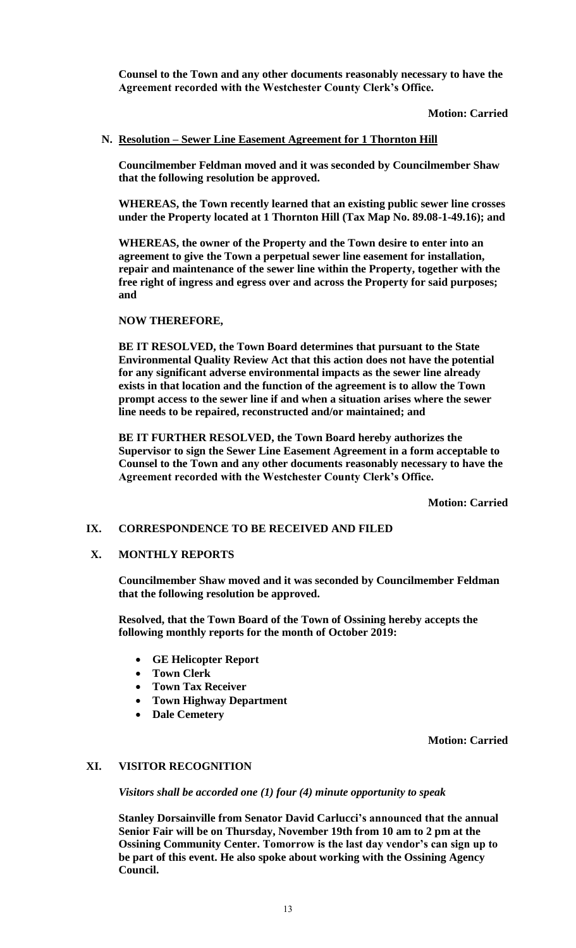**Counsel to the Town and any other documents reasonably necessary to have the Agreement recorded with the Westchester County Clerk's Office.**

**Motion: Carried**

#### **N. Resolution – Sewer Line Easement Agreement for 1 Thornton Hill**

**Councilmember Feldman moved and it was seconded by Councilmember Shaw that the following resolution be approved.**

**WHEREAS, the Town recently learned that an existing public sewer line crosses under the Property located at 1 Thornton Hill (Tax Map No. 89.08-1-49.16); and**

**WHEREAS, the owner of the Property and the Town desire to enter into an agreement to give the Town a perpetual sewer line easement for installation, repair and maintenance of the sewer line within the Property, together with the free right of ingress and egress over and across the Property for said purposes; and**

#### **NOW THEREFORE,**

**BE IT RESOLVED, the Town Board determines that pursuant to the State Environmental Quality Review Act that this action does not have the potential for any significant adverse environmental impacts as the sewer line already exists in that location and the function of the agreement is to allow the Town prompt access to the sewer line if and when a situation arises where the sewer line needs to be repaired, reconstructed and/or maintained; and**

**BE IT FURTHER RESOLVED, the Town Board hereby authorizes the Supervisor to sign the Sewer Line Easement Agreement in a form acceptable to Counsel to the Town and any other documents reasonably necessary to have the Agreement recorded with the Westchester County Clerk's Office.** 

**Motion: Carried**

#### **IX. CORRESPONDENCE TO BE RECEIVED AND FILED**

#### **X. MONTHLY REPORTS**

**Councilmember Shaw moved and it was seconded by Councilmember Feldman that the following resolution be approved.**

**Resolved, that the Town Board of the Town of Ossining hereby accepts the following monthly reports for the month of October 2019:**

- **GE Helicopter Report**
- **Town Clerk**
- **Town Tax Receiver**
- **Town Highway Department**
- **Dale Cemetery**

**Motion: Carried**

# **XI. VISITOR RECOGNITION**

*Visitors shall be accorded one (1) four (4) minute opportunity to speak*

**Stanley Dorsainville from Senator David Carlucci's announced that the annual Senior Fair will be on Thursday, November 19th from 10 am to 2 pm at the Ossining Community Center. Tomorrow is the last day vendor's can sign up to be part of this event. He also spoke about working with the Ossining Agency Council.**